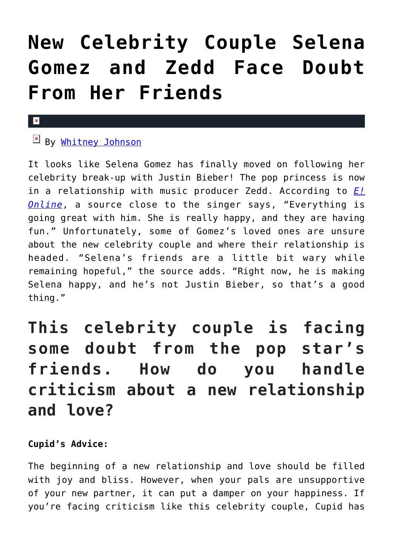# **[New Celebrity Couple Selena](https://cupidspulse.com/85911/celebrity-couple-selena-gomez-zedd/) [Gomez and Zedd Face Doubt](https://cupidspulse.com/85911/celebrity-couple-selena-gomez-zedd/) [From Her Friends](https://cupidspulse.com/85911/celebrity-couple-selena-gomez-zedd/)**

#### $\pmb{\times}$

## By [Whitney Johnson](http://cupidspulse.com/104601/whitney-johnson/)

It looks like Selena Gomez has finally moved on following her celebrity break-up with Justin Bieber! The pop princess is now in a relationship with music producer Zedd. According to *[E!](http://www.eonline.com/news/619502/selena-gomez-is-really-happy-with-zedd-what-do-her-friends-think-get-the-scoop) [Online](http://www.eonline.com/news/619502/selena-gomez-is-really-happy-with-zedd-what-do-her-friends-think-get-the-scoop)*, a source close to the singer says, "Everything is going great with him. She is really happy, and they are having fun." Unfortunately, some of Gomez's loved ones are unsure about the new celebrity couple and where their relationship is headed. "Selena's friends are a little bit wary while remaining hopeful," the source adds. "Right now, he is making Selena happy, and he's not Justin Bieber, so that's a good thing."

# **This celebrity couple is facing some doubt from the pop star's friends. How do you handle criticism about a new relationship and love?**

### **Cupid's Advice:**

The beginning of a new relationship and love should be filled with joy and bliss. However, when your pals are unsupportive of your new partner, it can put a damper on your happiness. If you're facing criticism like this celebrity couple, Cupid has